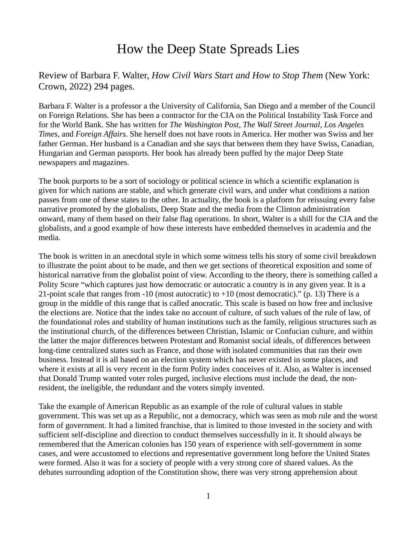# How the Deep State Spreads Lies

Review of Barbara F. Walter, *How Civil Wars Start and How to Stop Them* (New York: Crown, 2022) 294 pages.

Barbara F. Walter is a professor a the University of California, San Diego and a member of the Council on Foreign Relations. She has been a contractor for the CIA on the Political Instability Task Force and for the World Bank. She has written for *The Washington Post*, *The Wall Street Journal*, *Los Angeles Times*, and *Foreign Affairs*. She herself does not have roots in America. Her mother was Swiss and her father German. Her husband is a Canadian and she says that between them they have Swiss, Canadian, Hungarian and German passports. Her book has already been puffed by the major Deep State newspapers and magazines.

The book purports to be a sort of sociology or political science in which a scientific explanation is given for which nations are stable, and which generate civil wars, and under what conditions a nation passes from one of these states to the other. In actuality, the book is a platform for reissuing every false narrative promoted by the globalists, Deep State and the media from the Clinton administration onward, many of them based on their false flag operations. In short, Walter is a shill for the CIA and the globalists, and a good example of how these interests have embedded themselves in academia and the media.

The book is written in an anecdotal style in which some witness tells his story of some civil breakdown to illustrate the point about to be made, and then we get sections of theoretical exposition and some of historical narrative from the globalist point of view. According to the theory, there is something called a Polity Score "which captures just how democratic or autocratic a country is in any given year. It is a 21-point scale that ranges from  $-10$  (most autocratic) to  $+10$  (most democratic)." (p. 13) There is a group in the middle of this range that is called anocratic. This scale is based on how free and inclusive the elections are. Notice that the index take no account of culture, of such values of the rule of law, of the foundational roles and stability of human institutions such as the family, religious structures such as the institutional church, of the differences between Christian, Islamic or Confucian culture, and within the latter the major differences between Protestant and Romanist social ideals, of differences between long-time centralized states such as France, and those with isolated communities that ran their own business. Instead it is all based on an election system which has never existed in some places, and where it exists at all is very recent in the form Polity index conceives of it. Also, as Walter is incensed that Donald Trump wanted voter roles purged, inclusive elections must include the dead, the nonresident, the ineligible, the redundant and the voters simply invented.

Take the example of American Republic as an example of the role of cultural values in stable government. This was set up as a Republic, not a democracy, which was seen as mob rule and the worst form of government. It had a limited franchise, that is limited to those invested in the society and with sufficient self-discipline and direction to conduct themselves successfully in it. It should always be remembered that the American colonies has 150 years of experience with self-government in some cases, and were accustomed to elections and representative government long before the United States were formed. Also it was for a society of people with a very strong core of shared values. As the debates surrounding adoption of the Constitution show, there was very strong apprehension about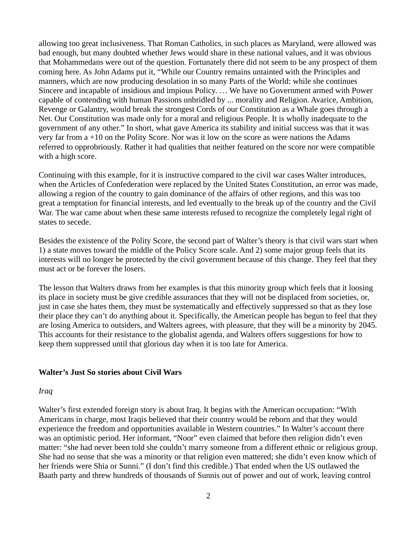allowing too great inclusiveness. That Roman Catholics, in such places as Maryland, were allowed was bad enough, but many doubted whether Jews would share in these national values, and it was obvious that Mohammedans were out of the question. Fortunately there did not seem to be any prospect of them coming here. As John Adams put it, "While our Country remains untainted with the Principles and manners, which are now producing desolation in so many Parts of the World: while she continues Sincere and incapable of insidious and impious Policy. … We have no Government armed with Power capable of contending with human Passions unbridled by ... morality and Religion. Avarice, Ambition, Revenge or Galantry, would break the strongest Cords of our Constitution as a Whale goes through a Net. Our Constitution was made only for a moral and religious People. It is wholly inadequate to the government of any other." In short, what gave America its stability and initial success was that it was very far from a +10 on the Polity Score. Nor was it low on the score as were nations the Adams referred to opprobriously. Rather it had qualities that neither featured on the score nor were compatible with a high score.

Continuing with this example, for it is instructive compared to the civil war cases Walter introduces, when the Articles of Confederation were replaced by the United States Constitution, an error was made, allowing a region of the country to gain dominance of the affairs of other regions, and this was too great a temptation for financial interests, and led eventually to the break up of the country and the Civil War. The war came about when these same interests refused to recognize the completely legal right of states to secede.

Besides the existence of the Polity Score, the second part of Walter's theory is that civil wars start when 1) a state moves toward the middle of the Policy Score scale. And 2) some major group feels that its interests will no longer be protected by the civil government because of this change. They feel that they must act or be forever the losers.

The lesson that Walters draws from her examples is that this minority group which feels that it loosing its place in society must be give credible assurances that they will not be displaced from societies, or, just in case she hates them, they must be systematically and effectively suppressed so that as they lose their place they can't do anything about it. Specifically, the American people has begun to feel that they are losing America to outsiders, and Walters agrees, with pleasure, that they will be a minority by 2045. This accounts for their resistance to the globalist agenda, and Walters offers suggestions for how to keep them suppressed until that glorious day when it is too late for America.

## **Walter's Just So stories about Civil Wars**

#### *Iraq*

Walter's first extended foreign story is about Iraq. It begins with the American occupation: "With Americans in charge, most Iraqis believed that their country would be reborn and that they would experience the freedom and opportunities available in Western countries." In Walter's account there was an optimistic period. Her informant, "Noor" even claimed that before then religion didn't even matter: "she had never been told she couldn't marry someone from a different ethnic or religious group. She had no sense that she was a minority or that religion even mattered; she didn't even know which of her friends were Shia or Sunni." (I don't find this credible.) That ended when the US outlawed the Baath party and threw hundreds of thousands of Sunnis out of power and out of work, leaving control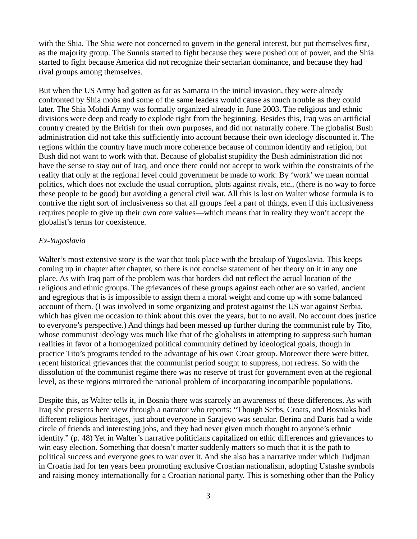with the Shia. The Shia were not concerned to govern in the general interest, but put themselves first, as the majority group. The Sunnis started to fight because they were pushed out of power, and the Shia started to fight because America did not recognize their sectarian dominance, and because they had rival groups among themselves.

But when the US Army had gotten as far as Samarra in the initial invasion, they were already confronted by Shia mobs and some of the same leaders would cause as much trouble as they could later. The Shia Mohdi Army was formally organized already in June 2003. The religious and ethnic divisions were deep and ready to explode right from the beginning. Besides this, Iraq was an artificial country created by the British for their own purposes, and did not naturally cohere. The globalist Bush administration did not take this sufficiently into account because their own ideology discounted it. The regions within the country have much more coherence because of common identity and religion, but Bush did not want to work with that. Because of globalist stupidity the Bush administration did not have the sense to stay out of Iraq, and once there could not accept to work within the constraints of the reality that only at the regional level could government be made to work. By 'work' we mean normal politics, which does not exclude the usual corruption, plots against rivals, etc., (there is no way to force these people to be good) but avoiding a general civil war. All this is lost on Walter whose formula is to contrive the right sort of inclusiveness so that all groups feel a part of things, even if this inclusiveness requires people to give up their own core values—which means that in reality they won't accept the globalist's terms for coexistence.

## *Ex-Yugoslavia*

Walter's most extensive story is the war that took place with the breakup of Yugoslavia. This keeps coming up in chapter after chapter, so there is not concise statement of her theory on it in any one place. As with Iraq part of the problem was that borders did not reflect the actual location of the religious and ethnic groups. The grievances of these groups against each other are so varied, ancient and egregious that is is impossible to assign them a moral weight and come up with some balanced account of them. (I was involved in some organizing and protest against the US war against Serbia, which has given me occasion to think about this over the years, but to no avail. No account does justice to everyone's perspective.) And things had been messed up further during the communist rule by Tito, whose communist ideology was much like that of the globalists in attempting to suppress such human realities in favor of a homogenized political community defined by ideological goals, though in practice Tito's programs tended to the advantage of his own Croat group. Moreover there were bitter, recent historical grievances that the communist period sought to suppress, not redress. So with the dissolution of the communist regime there was no reserve of trust for government even at the regional level, as these regions mirrored the national problem of incorporating incompatible populations.

Despite this, as Walter tells it, in Bosnia there was scarcely an awareness of these differences. As with Iraq she presents here view through a narrator who reports: "Though Serbs, Croats, and Bosniaks had different religious heritages, just about everyone in Sarajevo was secular. Berina and Daris had a wide circle of friends and interesting jobs, and they had never given much thought to anyone's ethnic identity." (p. 48) Yet in Walter's narrative politicians capitalized on ethic differences and grievances to win easy election. Something that doesn't matter suddenly matters so much that it is the path to political success and everyone goes to war over it. And she also has a narrative under which Tudjman in Croatia had for ten years been promoting exclusive Croatian nationalism, adopting Ustashe symbols and raising money internationally for a Croatian national party. This is something other than the Policy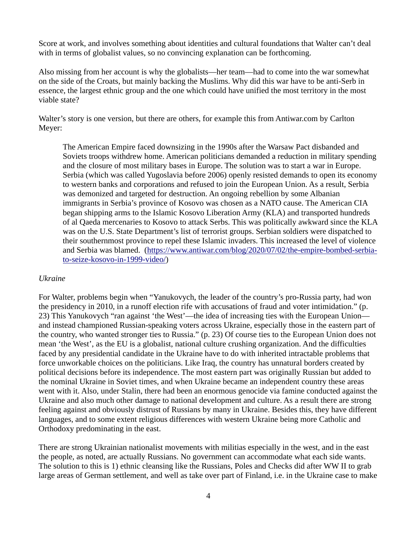Score at work, and involves something about identities and cultural foundations that Walter can't deal with in terms of globalist values, so no convincing explanation can be forthcoming.

Also missing from her account is why the globalists—her team—had to come into the war somewhat on the side of the Croats, but mainly backing the Muslims. Why did this war have to be anti-Serb in essence, the largest ethnic group and the one which could have unified the most territory in the most viable state?

Walter's story is one version, but there are others, for example this from Antiwar.com by Carlton Meyer:

The American Empire faced downsizing in the 1990s after the Warsaw Pact disbanded and Soviets troops withdrew home. American politicians demanded a reduction in military spending and the closure of most military bases in Europe. The solution was to start a war in Europe. Serbia (which was called Yugoslavia before 2006) openly resisted demands to open its economy to western banks and corporations and refused to join the European Union. As a result, Serbia was demonized and targeted for destruction. An ongoing rebellion by some Albanian immigrants in Serbia's province of Kosovo was chosen as a NATO cause. The American CIA began shipping arms to the Islamic Kosovo Liberation Army (KLA) and transported hundreds of al Qaeda mercenaries to Kosovo to attack Serbs. This was politically awkward since the KLA was on the U.S. State Department's list of terrorist groups. Serbian soldiers were dispatched to their southernmost province to repel these Islamic invaders. This increased the level of violence and Serbia was blamed. (https://www.antiwar.com/blog/2020/07/02/the-empire-bombed-serbiato-seize-kosovo-in-1999-video/)

## *Ukraine*

For Walter, problems begin when "Yanukovych, the leader of the country's pro-Russia party, had won the presidency in 2010, in a runoff election rife with accusations of fraud and voter intimidation." (p. 23) This Yanukovych "ran against 'the West'—the idea of increasing ties with the European Union and instead championed Russian-speaking voters across Ukraine, especially those in the eastern part of the country, who wanted stronger ties to Russia." (p. 23) Of course ties to the European Union does not mean 'the West', as the EU is a globalist, national culture crushing organization. And the difficulties faced by any presidential candidate in the Ukraine have to do with inherited intractable problems that force unworkable choices on the politicians. Like Iraq, the country has unnatural borders created by political decisions before its independence. The most eastern part was originally Russian but added to the nominal Ukraine in Soviet times, and when Ukraine became an independent country these areas went with it. Also, under Stalin, there had been an enormous genocide via famine conducted against the Ukraine and also much other damage to national development and culture. As a result there are strong feeling against and obviously distrust of Russians by many in Ukraine. Besides this, they have different languages, and to some extent religious differences with western Ukraine being more Catholic and Orthodoxy predominating in the east.

There are strong Ukrainian nationalist movements with militias especially in the west, and in the east the people, as noted, are actually Russians. No government can accommodate what each side wants. The solution to this is 1) ethnic cleansing like the Russians, Poles and Checks did after WW II to grab large areas of German settlement, and well as take over part of Finland, i.e. in the Ukraine case to make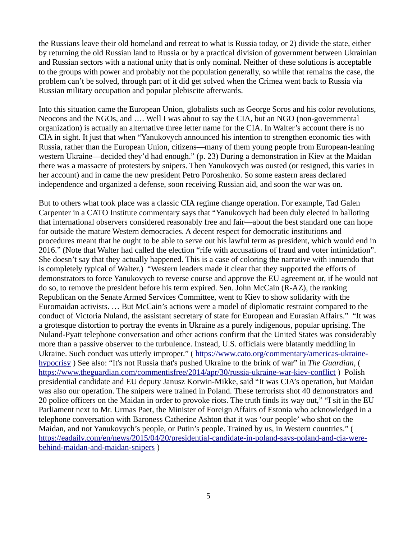the Russians leave their old homeland and retreat to what is Russia today, or 2) divide the state, either by returning the old Russian land to Russia or by a practical division of government between Ukrainian and Russian sectors with a national unity that is only nominal. Neither of these solutions is acceptable to the groups with power and probably not the population generally, so while that remains the case, the problem can't be solved, through part of it did get solved when the Crimea went back to Russia via Russian military occupation and popular plebiscite afterwards.

Into this situation came the European Union, globalists such as George Soros and his color revolutions, Neocons and the NGOs, and …. Well I was about to say the CIA, but an NGO (non-governmental organization) is actually an alternative three letter name for the CIA. In Walter's account there is no CIA in sight. It just that when "Yanukovych announced his intention to strengthen economic ties with Russia, rather than the European Union, citizens—many of them young people from European-leaning western Ukraine—decided they'd had enough." (p. 23) During a demonstration in Kiev at the Maidan there was a massacre of protesters by snipers. Then Yanukovych was ousted (or resigned, this varies in her account) and in came the new president Petro Poroshenko. So some eastern areas declared independence and organized a defense, soon receiving Russian aid, and soon the war was on.

But to others what took place was a classic CIA regime change operation. For example, Tad Galen Carpenter in a CATO Institute commentary says that "Yanukovych had been duly elected in balloting that international observers considered reasonably free and fair—about the best standard one can hope for outside the mature Western democracies. A decent respect for democratic institutions and procedures meant that he ought to be able to serve out his lawful term as president, which would end in 2016." (Note that Walter had called the election "rife with accusations of fraud and voter intimidation". She doesn't say that they actually happened. This is a case of coloring the narrative with innuendo that is completely typical of Walter.) "Western leaders made it clear that they supported the efforts of demonstrators to force Yanukovych to reverse course and approve the EU agreement or, if he would not do so, to remove the president before his term expired. Sen. John McCain (R-AZ), the ranking Republican on the Senate Armed Services Committee, went to Kiev to show solidarity with the Euromaidan activists. … But McCain's actions were a model of diplomatic restraint compared to the conduct of Victoria Nuland, the assistant secretary of state for European and Eurasian Affairs." "It was a grotesque distortion to portray the events in Ukraine as a purely indigenous, popular uprising. The Nuland‐Pyatt telephone conversation and other actions confirm that the United States was considerably more than a passive observer to the turbulence. Instead, U.S. officials were blatantly meddling in Ukraine. Such conduct was utterly improper." ( https://www.cato.org/commentary/americas-ukrainehypocrisy ) See also: "It's not Russia that's pushed Ukraine to the brink of war" in *The Guardian*, ( https://www.theguardian.com/commentisfree/2014/apr/30/russia-ukraine-war-kiev-conflict ) Polish presidential candidate and EU deputy Janusz Korwin-Mikke, said "It was CIA's operation, but Maidan was also our operation. The snipers were trained in Poland. These terrorists shot 40 demonstrators and 20 police officers on the Maidan in order to provoke riots. The truth finds its way out," "I sit in the EU Parliament next to Mr. Urmas Paet, the Minister of Foreign Affairs of Estonia who acknowledged in a telephone conversation with Baroness Catherine Ashton that it was 'our people' who shot on the Maidan, and not Yanukovych's people, or Putin's people. Trained by us, in Western countries." ( https://eadaily.com/en/news/2015/04/20/presidential-candidate-in-poland-says-poland-and-cia-werebehind-maidan-and-maidan-snipers )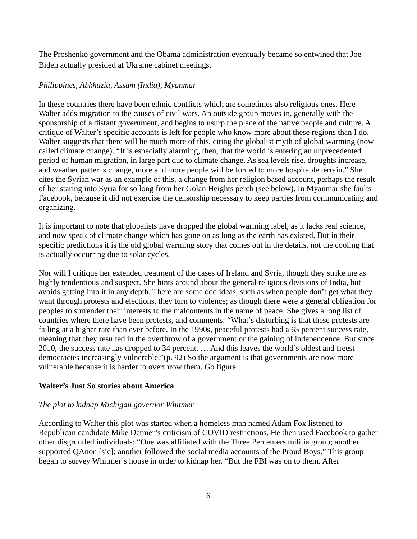The Proshenko government and the Obama administration eventually became so entwined that Joe Biden actually presided at Ukraine cabinet meetings.

# *Philippines, Abkhazia, Assam (India), Myanmar*

In these countries there have been ethnic conflicts which are sometimes also religious ones. Here Walter adds migration to the causes of civil wars. An outside group moves in, generally with the sponsorship of a distant government, and begins to usurp the place of the native people and culture. A critique of Walter's specific accounts is left for people who know more about these regions than I do. Walter suggests that there will be much more of this, citing the globalist myth of global warming (now called climate change). "It is especially alarming, then, that the world is entering an unprecedented period of human migration, in large part due to climate change. As sea levels rise, droughts increase, and weather patterns change, more and more people will be forced to more hospitable terrain." She cites the Syrian war as an example of this, a change from her religion based account, perhaps the result of her staring into Syria for so long from her Golan Heights perch (see below). In Myanmar she faults Facebook, because it did not exercise the censorship necessary to keep parties from communicating and organizing.

It is important to note that globalists have dropped the global warming label, as it lacks real science, and now speak of climate change which has gone on as long as the earth has existed. But in their specific predictions it is the old global warming story that comes out in the details, not the cooling that is actually occurring due to solar cycles.

Nor will I critique her extended treatment of the cases of Ireland and Syria, though they strike me as highly tendentious and suspect. She hints around about the general religious divisions of India, but avoids getting into it in any depth. There are some odd ideas, such as when people don't get what they want through protests and elections, they turn to violence; as though there were a general obligation for peoples to surrender their interests to the malcontents in the name of peace. She gives a long list of countries where there have been protests, and comments: "What's disturbing is that these protests are failing at a higher rate than ever before. In the 1990s, peaceful protests had a 65 percent success rate, meaning that they resulted in the overthrow of a government or the gaining of independence. But since 2010, the success rate has dropped to 34 percent. … And this leaves the world's oldest and freest democracies increasingly vulnerable."(p. 92) So the argument is that governments are now more vulnerable because it is harder to overthrow them. Go figure.

# **Walter's Just So stories about America**

# *The plot to kidnap Michigan governor Whitmer*

According to Walter this plot was started when a homeless man named Adam Fox listened to Republican candidate Mike Detmer's criticism of COVID restrictions. He then used Facebook to gather other disgruntled individuals: "One was affiliated with the Three Percenters militia group; another supported QAnon [sic]; another followed the social media accounts of the Proud Boys." This group began to survey Whitmer's house in order to kidnap her. "But the FBI was on to them. After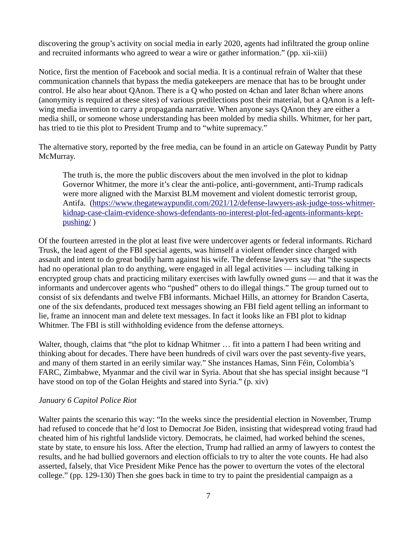discovering the group's activity on social media in early 2020, agents had infiltrated the group online and recruited informants who agreed to wear a wire or gather information." (pp. xii-xiii)

Notice, first the mention of Facebook and social media. It is a continual refrain of Walter that these communication channels that bypass the media gatekeepers are menace that has to be brought under control. He also hear about QAnon. There is a Q who posted on 4chan and later 8chan where anons (anonymity is required at these sites) of various predilections post their material, but a QAnon is a leftwing media invention to carry a propaganda narrative. When anyone says QAnon they are either a media shill, or someone whose understanding has been molded by media shills. Whitmer, for her part, has tried to tie this plot to President Trump and to "white supremacy."

The alternative story, reported by the free media, can be found in an article on Gateway Pundit by Patty McMurray.

The truth is, the more the public discovers about the men involved in the plot to kidnap Governor Whitmer, the more it's clear the anti-police, anti-government, anti-Trump radicals were more aligned with the Marxist BLM movement and violent domestic terrorist group, Antifa. (https://www.thegatewaypundit.com/2021/12/defense-lawyers-ask-judge-toss-whitmerkidnap-case-claim-evidence-shows-defendants-no-interest-plot-fed-agents-informants-keptpushing/ )

Of the fourteen arrested in the plot at least five were undercover agents or federal informants. Richard Trusk, the lead agent of the FBI special agents, was himself a violent offender since charged with assault and intent to do great bodily harm against his wife. The defense lawyers say that "the suspects had no operational plan to do anything, were engaged in all legal activities — including talking in encrypted group chats and practicing military exercises with lawfully owned guns — and that it was the informants and undercover agents who "pushed" others to do illegal things." The group turned out to consist of six defendants and twelve FBI informants. Michael Hills, an attorney for Brandon Caserta, one of the six defendants, produced text messages showing an FBI field agent telling an informant to lie, frame an innocent man and delete text messages. In fact it looks like an FBI plot to kidnap Whitmer. The FBI is still withholding evidence from the defense attorneys.

Walter, though, claims that "the plot to kidnap Whitmer ... fit into a pattern I had been writing and thinking about for decades. There have been hundreds of civil wars over the past seventy-five years, and many of them started in an eerily similar way." She instances Hamas, Sinn Féin, Colombia's FARC, Zimbabwe, Myanmar and the civil war in Syria. About that she has special insight because "I have stood on top of the Golan Heights and stared into Syria." (p. xiv)

## *January 6 Capitol Police Riot*

Walter paints the scenario this way: "In the weeks since the presidential election in November, Trump had refused to concede that he'd lost to Democrat Joe Biden, insisting that widespread voting fraud had cheated him of his rightful landslide victory. Democrats, he claimed, had worked behind the scenes, state by state, to ensure his loss. After the election, Trump had rallied an army of lawyers to contest the results, and he had bullied governors and election officials to try to alter the vote counts. He had also asserted, falsely, that Vice President Mike Pence has the power to overturn the votes of the electoral college." (pp. 129-130) Then she goes back in time to try to paint the presidential campaign as a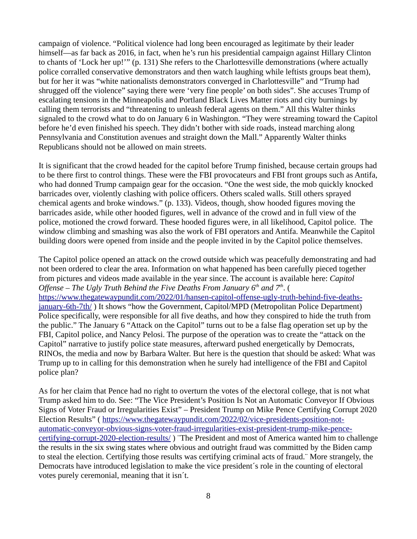campaign of violence. "Political violence had long been encouraged as legitimate by their leader himself—as far back as 2016, in fact, when he's run his presidential campaign against Hillary Clinton to chants of 'Lock her up!'" (p. 131) She refers to the Charlottesville demonstrations (where actually police corralled conservative demonstrators and then watch laughing while leftists groups beat them), but for her it was "white nationalists demonstrators converged in Charlottesville" and "Trump had shrugged off the violence" saying there were 'very fine people' on both sides". She accuses Trump of escalating tensions in the Minneapolis and Portland Black Lives Matter riots and city burnings by calling them terrorists and "threatening to unleash federal agents on them." All this Walter thinks signaled to the crowd what to do on January 6 in Washington. "They were streaming toward the Capitol before he'd even finished his speech. They didn't bother with side roads, instead marching along Pennsylvania and Constitution avenues and straight down the Mall." Apparently Walter thinks Republicans should not be allowed on main streets.

It is significant that the crowd headed for the capitol before Trump finished, because certain groups had to be there first to control things. These were the FBI provocateurs and FBI front groups such as Antifa, who had donned Trump campaign gear for the occasion. "One the west side, the mob quickly knocked barricades over, violently clashing with police officers. Others scaled walls. Still others sprayed chemical agents and broke windows." (p. 133). Videos, though, show hooded figures moving the barricades aside, while other hooded figures, well in advance of the crowd and in full view of the police, motioned the crowd forward. These hooded figures were, in all likelihood, Capitol police. The window climbing and smashing was also the work of FBI operators and Antifa. Meanwhile the Capitol building doors were opened from inside and the people invited in by the Capitol police themselves.

The Capitol police opened an attack on the crowd outside which was peacefully demonstrating and had not been ordered to clear the area. Information on what happened has been carefully pieced together from pictures and videos made available in the year since. The account is available here: *Capitol Offense – The Ugly Truth Behind the Five Deaths From January 6<sup>th</sup> and 7<sup>th</sup>. (* https://www.thegatewaypundit.com/2022/01/hansen-capitol-offense-ugly-truth-behind-five-deathsjanuary-6th-7th/ ) It shows "how the Government, Capitol/MPD (Metropolitan Police Department) Police specifically, were responsible for all five deaths, and how they conspired to hide the truth from the public." The January 6 "Attack on the Capitol" turns out to be a false flag operation set up by the FBI, Capitol police, and Nancy Pelosi. The purpose of the operation was to create the "attack on the Capitol" narrative to justify police state measures, afterward pushed energetically by Democrats, RINOs, the media and now by Barbara Walter. But here is the question that should be asked: What was Trump up to in calling for this demonstration when he surely had intelligence of the FBI and Capitol police plan?

As for her claim that Pence had no right to overturn the votes of the electoral college, that is not what Trump asked him to do. See: "The Vice President's Position Is Not an Automatic Conveyor If Obvious Signs of Voter Fraud or Irregularities Exist" – President Trump on Mike Pence Certifying Corrupt 2020 Election Results" ( https://www.thegatewaypundit.com/2022/02/vice-presidents-position-notautomatic-conveyor-obvious-signs-voter-fraud-irregularities-exist-president-trump-mike-pencecertifying-corrupt-2020-election-results/ ) ¨The President and most of America wanted him to challenge the results in the six swing states where obvious and outright fraud was committed by the Biden camp to steal the election. Certifying those results was certifying criminal acts of fraud.¨ More strangely, the Democrats have introduced legislation to make the vice president´s role in the counting of electoral votes purely ceremonial, meaning that it isn´t.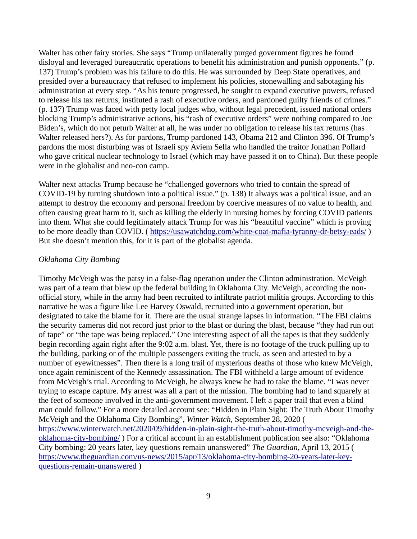Walter has other fairy stories. She says "Trump unilaterally purged government figures he found disloyal and leveraged bureaucratic operations to benefit his administration and punish opponents." (p. 137) Trump's problem was his failure to do this. He was surrounded by Deep State operatives, and presided over a bureaucracy that refused to implement his policies, stonewalling and sabotaging his administration at every step. "As his tenure progressed, he sought to expand executive powers, refused to release his tax returns, instituted a rash of executive orders, and pardoned guilty friends of crimes." (p. 137) Trump was faced with petty local judges who, without legal precedent, issued national orders blocking Trump's administrative actions, his "rash of executive orders" were nothing compared to Joe Biden's, which do not peturb Walter at all, he was under no obligation to release his tax returns (has Walter released hers?). As for pardons, Trump pardoned 143, Obama 212 and Clinton 396. Of Trump's pardons the most disturbing was of Israeli spy Aviem Sella who handled the traitor Jonathan Pollard who gave critical nuclear technology to Israel (which may have passed it on to China). But these people were in the globalist and neo-con camp.

Walter next attacks Trump because he "challenged governors who tried to contain the spread of COVID-19 by turning shutdown into a political issue." (p. 138) It always was a political issue, and an attempt to destroy the economy and personal freedom by coercive measures of no value to health, and often causing great harm to it, such as killing the elderly in nursing homes by forcing COVID patients into them. What she could legitimately attack Trump for was his "beautiful vaccine" which is proving to be more deadly than COVID. ( https://usawatchdog.com/white-coat-mafia-tyranny-dr-betsy-eads/ ) But she doesn't mention this, for it is part of the globalist agenda.

## *Oklahoma City Bombing*

Timothy McVeigh was the patsy in a false-flag operation under the Clinton administration. McVeigh was part of a team that blew up the federal building in Oklahoma City. McVeigh, according the nonofficial story, while in the army had been recruited to infiltrate patriot militia groups. According to this narrative he was a figure like Lee Harvey Oswald, recruited into a government operation, but designated to take the blame for it. There are the usual strange lapses in information. "The FBI claims the security cameras did not record just prior to the blast or during the blast, because "they had run out of tape" or "the tape was being replaced." One interesting aspect of all the tapes is that they suddenly begin recording again right after the 9:02 a.m. blast. Yet, there is no footage of the truck pulling up to the building, parking or of the multiple passengers exiting the truck, as seen and attested to by a number of eyewitnesses". Then there is a long trail of mysterious deaths of those who knew McVeigh, once again reminiscent of the Kennedy assassination. The FBI withheld a large amount of evidence from McVeigh's trial. According to McVeigh, he always knew he had to take the blame. "I was never trying to escape capture. My arrest was all a part of the mission. The bombing had to land squarely at the feet of someone involved in the anti-government movement. I left a paper trail that even a blind man could follow." For a more detailed account see: "Hidden in Plain Sight: The Truth About Timothy McVeigh and the Oklahoma City Bombing", *Winter Watch*, September 28, 2020 ( https://www.winterwatch.net/2020/09/hidden-in-plain-sight-the-truth-about-timothy-mcveigh-and-theoklahoma-city-bombing/ ) For a critical account in an establishment publication see also: "Oklahoma City bombing: 20 years later, key questions remain unanswered" *The Guardian*, April 13, 2015 ( https://www.theguardian.com/us-news/2015/apr/13/oklahoma-city-bombing-20-years-later-keyquestions-remain-unanswered )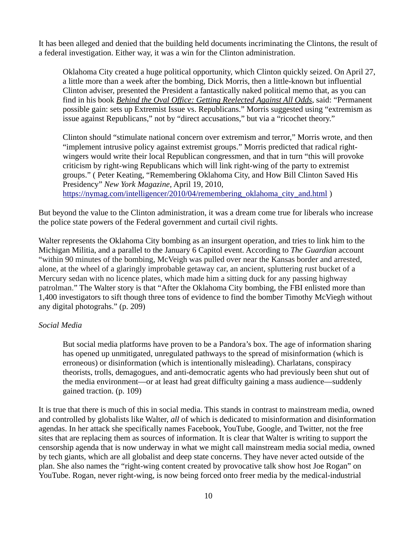It has been alleged and denied that the building held documents incriminating the Clintons, the result of a federal investigation. Either way, it was a win for the Clinton administration.

Oklahoma City created a huge political opportunity, which Clinton quickly seized. On April 27, a little more than a week after the bombing, Dick Morris, then a little-known but influential Clinton adviser, presented the President a fantastically naked political memo that, as you can find in his book *Behind the Oval Office: Getting Reelected Against All Odds*, said: "Permanent possible gain: sets up Extremist Issue vs. Republicans." Morris suggested using "extremism as issue against Republicans," not by "direct accusations," but via a "ricochet theory."

Clinton should "stimulate national concern over extremism and terror," Morris wrote, and then "implement intrusive policy against extremist groups." Morris predicted that radical rightwingers would write their local Republican congressmen, and that in turn "this will provoke criticism by right-wing Republicans which will link right-wing of the party to extremist groups." ( Peter Keating, "Remembering Oklahoma City, and How Bill Clinton Saved His Presidency" *New York Magazine*, April 19, 2010, https://nymag.com/intelligencer/2010/04/remembering\_oklahoma\_city\_and.html )

But beyond the value to the Clinton administration, it was a dream come true for liberals who increase the police state powers of the Federal government and curtail civil rights.

Walter represents the Oklahoma City bombing as an insurgent operation, and tries to link him to the Michigan Militia, and a parallel to the January 6 Capitol event. According to *The Guardian* account "within 90 minutes of the bombing, McVeigh was pulled over near the Kansas border and arrested, alone, at the wheel of a glaringly improbable getaway car, an ancient, spluttering rust bucket of a Mercury sedan with no licence plates, which made him a sitting duck for any passing highway patrolman." The Walter story is that "After the Oklahoma City bombing, the FBI enlisted more than 1,400 investigators to sift though three tons of evidence to find the bomber Timothy McViegh without any digital photograhs." (p. 209)

## *Social Media*

But social media platforms have proven to be a Pandora's box. The age of information sharing has opened up unmitigated, unregulated pathways to the spread of misinformation (which is erroneous) or disinformation (which is intentionally misleading). Charlatans, conspiracy theorists, trolls, demagogues, and anti-democratic agents who had previously been shut out of the media environment—or at least had great difficulty gaining a mass audience—suddenly gained traction. (p. 109)

It is true that there is much of this in social media. This stands in contrast to mainstream media, owned and controlled by globalists like Walter, *all* of which is dedicated to misinformation and disinformation agendas. In her attack she specifically names Facebook, YouTube, Google, and Twitter, not the free sites that are replacing them as sources of information. It is clear that Walter is writing to support the censorship agenda that is now underway in what we might call mainstream media social media, owned by tech giants, which are all globalist and deep state concerns. They have never acted outside of the plan. She also names the "right-wing content created by provocative talk show host Joe Rogan" on YouTube. Rogan, never right-wing, is now being forced onto freer media by the medical-industrial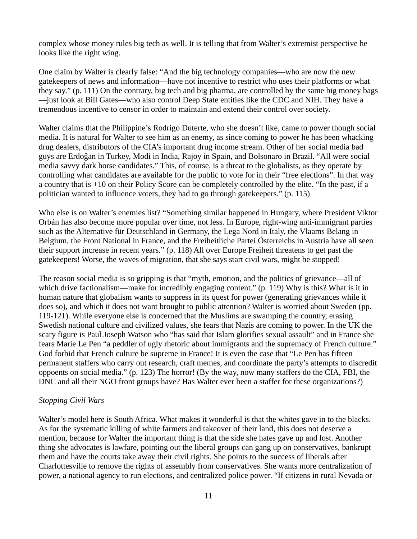complex whose money rules big tech as well. It is telling that from Walter's extremist perspective he looks like the right wing.

One claim by Walter is clearly false: "And the big technology companies—who are now the new gatekeepers of news and information—have not incentive to restrict who uses their platforms or what they say." (p. 111) On the contrary, big tech and big pharma, are controlled by the same big money bags —just look at Bill Gates—who also control Deep State entities like the CDC and NIH. They have a tremendous incentive to censor in order to maintain and extend their control over society.

Walter claims that the Philippine's Rodrigo Duterte, who she doesn't like, came to power though social media. It is natural for Walter to see him as an enemy, as since coming to power he has been whacking drug dealers, distributors of the CIA's important drug income stream. Other of her social media bad guys are Erdoĝan in Turkey, Modi in India, Rajoy in Spain, and Bolsonaro in Brazil. "All were social media savvy dark horse candidates." This, of course, is a threat to the globalists, as they operate by controlling what candidates are available for the public to vote for in their "free elections". In that way a country that is +10 on their Policy Score can be completely controlled by the elite. "In the past, if a politician wanted to influence voters, they had to go through gatekeepers." (p. 115)

Who else is on Walter's enemies list? "Something similar happened in Hungary, where President Viktor Orbán has also become more popular over time, not less. In Europe, right-wing anti-immigrant parties such as the Alternative für Deutschland in Germany, the Lega Nord in Italy, the Vlaams Belang in Belgium, the Front National in France, and the Freiheitliche Partei Österreichs in Austria have all seen their support increase in recent years." (p. 118) All over Europe Freiheit threatens to get past the gatekeepers! Worse, the waves of migration, that she says start civil wars, might be stopped!

The reason social media is so gripping is that "myth, emotion, and the politics of grievance—all of which drive factionalism—make for incredibly engaging content." (p. 119) Why is this? What is it in human nature that globalism wants to suppress in its quest for power (generating grievances while it does so), and which it does not want brought to public attention? Walter is worried about Sweden (pp. 119-121). While everyone else is concerned that the Muslims are swamping the country, erasing Swedish national culture and civilized values, she fears that Nazis are coming to power. In the UK the scary figure is Paul Joseph Watson who "has said that Islam glorifies sexual assault" and in France she fears Marie Le Pen "a peddler of ugly rhetoric about immigrants and the supremacy of French culture." God forbid that French culture be supreme in France! It is even the case that "Le Pen has fifteen permanent staffers who carry out research, craft memes, and coordinate the party's attempts to discredit oppoents on social media." (p. 123) The horror! (By the way, now many staffers do the CIA, FBI, the DNC and all their NGO front groups have? Has Walter ever been a staffer for these organizations?)

## *Stopping Civil Wars*

Walter's model here is South Africa. What makes it wonderful is that the whites gave in to the blacks. As for the systematic killing of white farmers and takeover of their land, this does not deserve a mention, because for Walter the important thing is that the side she hates gave up and lost. Another thing she advocates is lawfare, pointing out the liberal groups can gang up on conservatives, bankrupt them and have the courts take away their civil rights. She points to the success of liberals after Charlottesville to remove the rights of assembly from conservatives. She wants more centralization of power, a national agency to run elections, and centralized police power. "If citizens in rural Nevada or